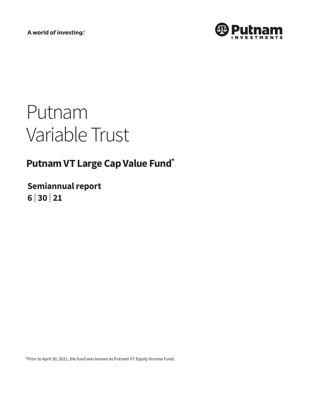

# Putnam Variable Trust

# **Putnam VT Large Cap Value Fund\***

**Semiannual report 6 <sup>|</sup> 30 <sup>|</sup> 21**

\*Prior to April 30, 2021, the fund was known as Putnam VT Equity Income Fund.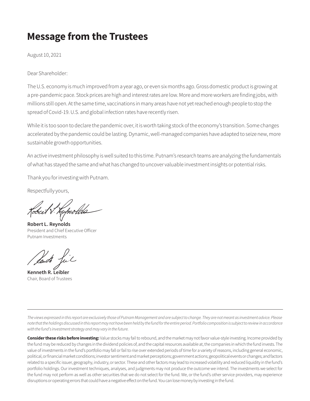# **Message from the Trustees**

August 10, 2021

Dear Shareholder:

The U.S. economy is much improved from a year ago, or even six months ago. Gross domestic product is growing at a pre-pandemic pace. Stock prices are high and interest rates are low. More and more workers are finding jobs, with millions still open. At the same time, vaccinations in many areas have not yet reached enough people to stop the spread of Covid-19. U.S. and global infection rates have recently risen.

While it is too soon to declare the pandemic over, it is worth taking stock of the economy's transition. Some changes accelerated by the pandemic could be lasting. Dynamic, well-managed companies have adapted to seize new, more sustainable growth opportunities.

An active investment philosophy is well suited to this time. Putnam's research teams are analyzing the fundamentals of what has stayed the same and what has changed to uncover valuable investment insights or potential risks.

Thank you for investing with Putnam.

Respectfully yours,

**Robert L. Reynolds** President and Chief Executive Officer Putnam Investments

**Kenneth R. Leibler** Chair, Board of Trustees

*The views expressed in this report are exclusively those of Putnam Management and are subject to change. They are not meant as investment advice. Please note that the holdings discussed in this report may not have been held by the fund for the entire period. Portfolio composition is subject to review in accordance with the fund's investment strategy and may vary in the future.*

**Consider these risks before investing:** Value stocks may fail to rebound, and the market may not favor value-style investing. Income provided by the fund may be reduced by changes in the dividend policies of, and the capital resources available at, the companies in which the fund invests. The value of investments in the fund's portfolio may fall or fail to rise over extended periods of time for a variety of reasons, including general economic, political, or financial market conditions; investor sentiment and market perceptions; government actions; geopolitical events or changes; and factors related to a specific issuer, geography, industry, or sector. These and other factors may lead to increased volatility and reduced liquidity in the fund's portfolio holdings. Our investment techniques, analyses, and judgments may not produce the outcome we intend. The investments we select for the fund may not perform as well as other securities that we do not select for the fund. We, or the fund's other service providers, may experience disruptions or operating errors that could have a negative effect on the fund. You can lose money by investing in the fund.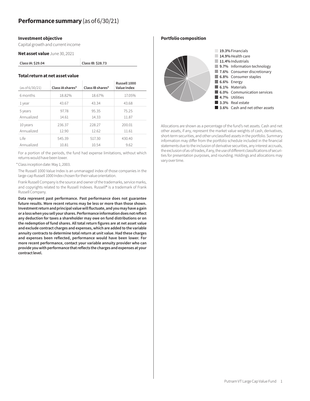#### **Investment objective**

Capital growth and current income

**Net asset value** June 30, 2021

# **Total return at net asset value**

| (as of 6/30/21) | Class IA shares* | Class IB shares* | Russell 1000<br>Value Index |
|-----------------|------------------|------------------|-----------------------------|
| 6 months        | 18.82%           | 18.67%           | 17.05%                      |
| 1 year          | 43.67            | 43.34            | 43.68                       |
| 5 years         | 97.78            | 95.35            | 75.25                       |
| Annualized      | 14.61            | 14.33            | 11.87                       |
| 10 years        | 236.37           | 228.27           | 200.01                      |
| Annualized      | 12.90            | 12.62            | 11.61                       |
| I ife           | 545.39           | 517.30           | 430.40                      |
| Annualized      | 10.81            | 10.54            | 9.62                        |

**Class IA: \$29.04 Class IB: \$28.73**

For a portion of the periods, the fund had expense limitations, without which returns would have been lower.

\*Class inception date: May 1, 2003.

The Russell 1000 Value Index is an unmanaged index of those companies in the large-cap Russell 1000 Index chosen for their value orientation.

Frank Russell Company is the source and owner of the trademarks, service marks, and copyrights related to the Russell Indexes. Russell® is a trademark of Frank Russell Company.

**Data represent past performance. Past performance does not guarantee future results. More recent returns may be less or more than those shown. Investment return and principal value will fluctuate, and you may have a gain or a loss when you sell your shares. Performance information does not reflect any deduction for taxes a shareholder may owe on fund distributions or on the redemption of fund shares. All total return figures are at net asset value and exclude contract charges and expenses, which are added to the variable annuity contracts to determine total return at unit value. Had these charges and expenses been reflected, performance would have been lower. For more recent performance, contact your variable annuity provider who can provide you with performance that reflects the charges and expenses at your contract level.**

#### **Portfolio composition**



Allocations are shown as a percentage of the fund's net assets. Cash and net other assets, if any, represent the market value weights of cash, derivatives, short-term securities, and other unclassified assets in the portfolio. Summary information may differ from the portfolio schedule included in the financial statements due to the inclusion of derivative securities, any interest accruals, the exclusion of as-of trades, if any, the use of different classifications of securities for presentation purposes, and rounding. Holdings and allocations may vary over time.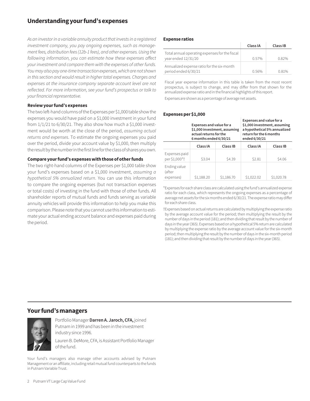# **Understanding your fund's expenses**

*As an investor in a variable annuity product that invests in a registered investment company, you pay ongoing expenses, such as management fees, distribution fees (12b-1 fees), and other expenses. Using the following information, you can estimate how these expenses affect your investment and compare them with the expenses of other funds. You may also pay one-time transaction expenses, which are not shown in this section and would result in higher total expenses. Charges and*  expenses at the insurance company separate account level are not *reflected. For more information, see your fund's prospectus or talk to your financial representative.*

#### **Review your fund's expenses**

The two left-hand columns of the Expenses per \$1,000 table show the expenses you would have paid on a \$1,000 investment in your fund from  $1/1/21$  to  $6/30/21$ . They also show how much a \$1,000 investment would be worth at the close of the period, *assuming actual returns and expenses*. To estimate the ongoing expenses you paid over the period, divide your account value by \$1,000, then multiply the result by the number in the first line for the class of shares you own.

#### **Compare your fund's expenses with those of other funds**

The two right-hand columns of the Expenses per \$1,000 table show your fund's expenses based on a \$1,000 investment, *assuming a hypothetical 5% annualized return*. You can use this information to compare the ongoing expenses (but not transaction expenses or total costs) of investing in the fund with those of other funds. All shareholder reports of mutual funds and funds serving as variable annuity vehicles will provide this information to help you make this comparison. Please note that you cannot use this information to estimate your actual ending account balance and expenses paid during the period.

#### **Expense ratios**

|                                                                       | Class IA | Class IB |
|-----------------------------------------------------------------------|----------|----------|
| Total annual operating expenses for the fiscal<br>year ended 12/31/20 | $0.57\%$ | 0.82%    |
| Annualized expense ratio for the six-month<br>period ended 6/30/21    | 0.56%    | 0.81%    |

Fiscal year expense information in this table is taken from the most recent prospectus, is subject to change, and may differ from that shown for the annualized expense ratio and in the financial highlights of this report.

Expenses are shown as a percentage of average net assets.

#### **Expenses per \$1,000**

|                                     | <b>Expenses and value for a</b><br>\$1,000 investment, assuming<br>actual returns for the<br>6 months ended 6/30/21 |            | Expenses and value for a<br>\$1,000 investment, assuming<br>a hypothetical 5% annualized<br>return for the 6 months<br>ended 6/30/21 |            |
|-------------------------------------|---------------------------------------------------------------------------------------------------------------------|------------|--------------------------------------------------------------------------------------------------------------------------------------|------------|
|                                     | Class IA                                                                                                            | Class IB   | Class IA                                                                                                                             | Class IB   |
| Expenses paid<br>per \$1,000*†      | \$3.04                                                                                                              | \$4.39     | \$2.81                                                                                                                               | \$4.06     |
| Ending value<br>(after<br>expenses) | \$1,188.20                                                                                                          | \$1,186.70 | \$1,022.02                                                                                                                           | \$1,020.78 |

\*Expenses for each share class are calculated using the fund's annualized expense ratio for each class, which represents the ongoing expenses as a percentage of average net assets for the six months ended 6/30/21. The expense ratio may differ for each share class.

†Expenses based on actual returns are calculated by multiplying the expense ratio by the average account value for the period; then multiplying the result by the number of days in the period (181); and then dividing that result by the number of days in the year (365). Expenses based on a hypothetical 5% return are calculated by multiplying the expense ratio by the average account value for the six-month period; then multiplying the result by the number of days in the six-month period (181); and then dividing that result by the number of days in the year (365).

## **Your fund's managers**



Portfolio Manager **Darren A. Jaroch, CFA,** joined Putnam in 1999 and has been in the investment industry since 1996. Lauren B. DeMore, CFA, is Assistant Portfolio Manager of the fund.

Your fund's managers also manage other accounts advised by Putnam Management or an affiliate, including retail mutual fund counterparts to the funds in Putnam Variable Trust.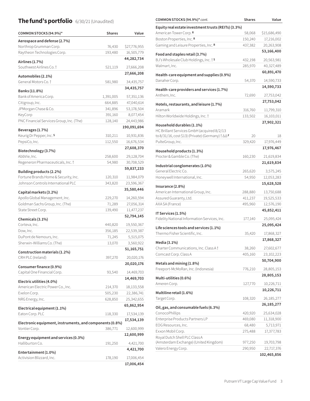# **The fund's portfolio** 6/30/21 (Unaudited)

| COMMON STOCKS (94.9%)*                                   | <b>Shares</b> | Value                    |
|----------------------------------------------------------|---------------|--------------------------|
| Aerospace and defense (2.7%)                             |               |                          |
| Northrop Grumman Corp.                                   | 76,430        | \$27,776,955             |
| Raytheon Technologies Corp.                              | 193,480       | 16,505,779               |
| Airlines (1.7%)                                          |               | 44,282,734               |
| Southwest Airlines Co. 1                                 | 521,119       | 27,666,208               |
|                                                          |               | 27,666,208               |
| Automobiles (2.1%)                                       |               |                          |
| General Motors Co. †                                     | 581,980       | 34,435,757<br>34,435,757 |
| Banks (11.8%)                                            |               |                          |
| Bank of America Corp.                                    | 1,391,005     | 57,351,136               |
| Citigroup, Inc.                                          | 664,885       | 47,040,614               |
| JPMorgan Chase & Co.                                     | 341,896       | 53,178,504               |
| KeyCorp                                                  | 391,160       | 8,077,454                |
| PNC Financial Services Group, Inc. (The)                 | 128,140       | 24,443,986               |
| Beverages (1.7%)                                         |               | 190,091,694              |
| Keurig Dr Pepper, Inc. S                                 | 310,211       | 10,931,836               |
| PepsiCo, Inc.                                            | 112,550       | 16,676,534               |
| Biotechnology (3.7%)                                     |               | 27,608,370               |
| AbbVie, Inc.                                             | 258,600       | 29,128,704               |
| Regeneron Pharmaceuticals, Inc. 1                        | 54,980        | 30,708,529               |
|                                                          |               | 59,837,233               |
| Building products (2.2%)                                 |               |                          |
| Fortune Brands Home & Security, Inc.                     | 120,310       | 11,984,079               |
| Johnson Controls International PLC                       | 343,820       | 23,596,367               |
| Capital markets (3.2%)                                   |               | 35,580,446               |
| Apollo Global Management, Inc.                           | 229,270       | 14,260,594               |
| Goldman Sachs Group, Inc. (The)                          | 71,289        | 27,056,314               |
| State Street Corp.                                       | 139,490       | 11,477,237               |
| Chemicals (3.1%)                                         |               | 52,794,145               |
| Corteva, Inc.                                            | 440,820       | 19,550,367               |
| Dow, Inc.                                                | 356,185       | 22,539,387               |
| DuPont de Nemours, Inc.                                  | 71,245        | 5,515,075                |
| Sherwin-Williams Co. (The)                               | 13,070        | 3,560,922                |
| Construction materials (1.2%)                            |               | 51,165,751               |
| CRH PLC (Ireland)                                        | 397,270       | 20,020,176               |
|                                                          |               | 20,020,176               |
| Consumer finance (0.9%)                                  |               |                          |
| Capital One Financial Corp.                              | 93,540        | 14,469,703               |
| Electric utilities (4.0%)                                |               | 14,469,703               |
| American Electric Power Co., Inc.                        | 214,370       | 18,133,558               |
| Exelon Corp.                                             | 505,230       | 22,386,741               |
| NRG Energy, Inc.                                         | 628,850       | 25,342,655               |
| Electrical equipment (1.1%)                              |               | 65,862,954               |
| Eaton Corp. PLC                                          | 118,330       | 17,534,139               |
|                                                          |               | 17,534,139               |
| Electronic equipment, instruments, and components (0.8%) |               |                          |
| Vontier Corp.                                            | 386,771       | 12,600,999               |
| Energy equipment and services (0.3%)                     |               | 12,600,999               |
| Halliburton Co.                                          | 191,250       | 4,421,700                |
| Entertainment (1.0%)                                     |               | 4,421,700                |
| Activision Blizzard, Inc.                                | 178,190       | 17,006,454               |
|                                                          |               | 17,006,454               |

| COMMON STOCKS (94.9%)* cont.                                                                   | <b>Shares</b> | Value                    |
|------------------------------------------------------------------------------------------------|---------------|--------------------------|
| Equity real estate investment trusts (REITs) (3.3%)                                            |               |                          |
| American Tower Corp. R                                                                         | 58,068        | \$15,686,490             |
| Boston Properties, Inc. R                                                                      | 150,240       | 17,216,002               |
| Gaming and Leisure Properties, Inc. R                                                          | 437,382       | 20,263,908               |
| Food and staples retail (3.7%)                                                                 |               | 53,166,400               |
| BJ's Wholesale Club Holdings, Inc. <sup>† S</sup>                                              | 432,198       | 20,563,981               |
| Walmart, Inc.                                                                                  | 285,970       | 40,327,489               |
|                                                                                                |               | 60,891,470               |
| Health-care equipment and supplies (0.9%)                                                      |               |                          |
| Danaher Corp.                                                                                  | 54,370        | 14,590,733               |
| Health-care providers and services (1.7%)                                                      |               | 14,590,733               |
| Anthem, Inc.                                                                                   | 72,690        | 27,753,042               |
| Hotels, restaurants, and leisure (1.7%)                                                        |               | 27,753,042               |
| Aramark                                                                                        | 316,760       | 11,799,310               |
| Hilton Worldwide Holdings, Inc. †                                                              | 133,502       | 16,103,011               |
|                                                                                                |               | 27,902,321               |
| Household durables (1.1%)                                                                      |               |                          |
| HC Brillant Services GmbH (acquired 8/2/13<br>to 8/31/16, cost \$13) (Private) (Germany) † ∆∆F | 20            | 18                       |
| PulteGroup, Inc.                                                                               | 329,420       | 17,976,449               |
|                                                                                                |               | 17,976,467               |
| Household products (1.3%)                                                                      |               |                          |
| Procter & Gamble Co. (The)                                                                     | 160,230       | 21,619,834               |
| Industrial conglomerates (1.0%)                                                                |               | 21,619,834               |
| General Electric Co.                                                                           | 265,620       | 3,575,245                |
| Honeywell International, Inc.                                                                  | 54,950        | 12,053,283               |
| Insurance (2.8%)                                                                               |               | 15,628,528               |
| American International Group, Inc.                                                             | 288,880       | 13,750,688               |
| Assured Guaranty, Ltd.                                                                         | 411,237       | 19,525,533               |
| AXA SA (France)                                                                                | 495,960       | 12,576,190               |
|                                                                                                |               | 45,852,411               |
| IT Services (1.5%)                                                                             |               |                          |
| Fidelity National Information Services, Inc.                                                   | 177,140       | 25,095,424               |
| Life sciences tools and services (1.1%)                                                        |               | 25,095,424               |
| Thermo Fisher Scientific, Inc.                                                                 | 35,420        | 17,868,327               |
| Media (3.1%)                                                                                   |               | 17,868,327               |
| Charter Communications, Inc. Class A†                                                          | 38,260        | 27,602,677               |
| Comcast Corp. Class A                                                                          | 405,160       | 23,102,223               |
|                                                                                                |               | 50,704,900               |
| Metals and mining (1.8%)<br>Freeport-McMoRan, Inc. (Indonesia)                                 |               |                          |
|                                                                                                | 776,210       | 28,805,153<br>28,805,153 |
| Multi-utilities (0.6%)                                                                         |               |                          |
| Ameren Corp.                                                                                   | 127,770       | 10,226,711               |
| Multiline retail (1.6%)                                                                        |               | 10,226,711               |
| Target Corp.                                                                                   | 108,320       | 26,185,277               |
|                                                                                                |               | 26, 185, 277             |
| Oil, gas, and consumable fuels (6.3%)<br>ConocoPhillips                                        | 420,920       | 25,634,028               |
| Enterprise Products Partners LP                                                                | 469,080       | 11,318,900               |
| EOG Resources, Inc.                                                                            | 68,480        | 5,713,971                |
| Exxon Mobil Corp.                                                                              | 275,488       | 17,377,783               |
| Royal Dutch Shell PLC Class A                                                                  |               |                          |
| (Amsterdam Exchange) (United Kingdom)                                                          | 977,250       | 19,703,798               |
| Valero Energy Corp.                                                                            | 290,950       | 22,717,376               |
|                                                                                                |               | 102,465,856              |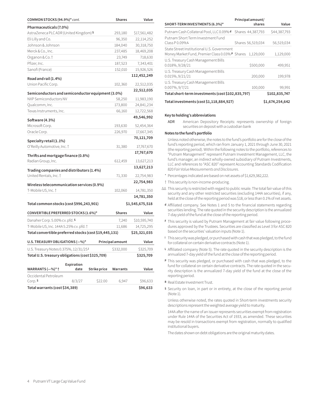| COMMON STOCKS (94.9%)* cont.                              |              | <b>Shares</b>           | Value           |
|-----------------------------------------------------------|--------------|-------------------------|-----------------|
| Pharmaceuticals (7.0%)                                    |              |                         |                 |
| AstraZeneca PLC ADR (United Kingdom) <b>S</b>             |              | 293,180                 | \$17,561,482    |
| Eli Lilly and Co.                                         |              | 96,350                  | 22,114,252      |
| Johnson & Johnson                                         |              | 184,040                 | 30,318,750      |
| Merck & Co., Inc.                                         |              | 237,485                 | 18,469,208      |
| Organon & Co.†                                            |              | 23,749                  | 718,630         |
| Pfizer, Inc.                                              |              | 187,523                 | 7,343,401       |
| Sanofi (France)                                           |              | 152,010                 | 15,926,526      |
| Road and rail (1.4%)                                      |              |                         | 112,452,249     |
| Union Pacific Corp.                                       |              | 102,360                 | 22,512,035      |
|                                                           |              |                         | 22,512,035      |
| Semiconductors and semiconductor equipment (3.0%)         |              |                         |                 |
| NXP Semiconductors NV                                     |              | 58,250                  | 11,983,190      |
| Qualcomm, Inc.                                            |              | 173,800                 | 24,841,234      |
| Texas Instruments, Inc.                                   |              | 66,160                  | 12,722,568      |
| Software (4.3%)                                           |              |                         | 49,546,992      |
| Microsoft Corp.                                           |              | 193,630                 | 52,454,364      |
| Oracle Corp.                                              |              | 226,970                 | 17,667,345      |
| Specialty retail (1.1%)                                   |              |                         | 70,121,709      |
| O'Reilly Automotive, Inc. 1                               |              | 31,380                  | 17,767,670      |
|                                                           |              |                         | 17,767,670      |
| Thrifts and mortgage finance (0.8%)<br>Radian Group, Inc. |              | 612,459                 | 13,627,213      |
|                                                           |              |                         | 13,627,213      |
| Trading companies and distributors (1.4%)                 |              |                         |                 |
| United Rentals, Inc. †                                    |              | 71,330                  | 22,754,983      |
| Wireless telecommunication services (0.9%)                |              |                         | 22,754,983      |
| T-Mobile US, Inc. †                                       |              | 102,060                 | 14,781,350      |
|                                                           |              |                         | 14,781,350      |
| Total common stocks (cost \$996,243,901)                  |              |                         | \$1,545,675,518 |
| CONVERTIBLE PREFERRED STOCKS (1.6%)*                      |              | <b>Shares</b>           | Value           |
| Danaher Corp. 5.00% cv. pfd. S                            |              | 7,240                   | \$10,595,740    |
| T-Mobile US, Inc. 144A 5.25% cv. pfd. 1                   |              | 11,686                  | 14,725,295      |
| Total convertible preferred stocks (cost \$19,445,131)    |              |                         | \$25,321,035    |
|                                                           |              |                         |                 |
| U.S. TREASURY OBLIGATIONS $(-\%)^*$                       |              | <b>Principal amount</b> | Value           |
| U.S. Treasury Notes 0.375%, 12/31/25i                     |              | \$332,000               | \$325,709       |
| Total U.S. treasury obligations (cost \$325,709)          |              |                         | \$325,709       |
| Expiration                                                |              |                         |                 |
| WARRANTS (-%)* †<br>date                                  | Strike price | Warrants                | Value           |
| Occidental Petroleum                                      |              |                         |                 |

|                                | Expiration |              |          |          |
|--------------------------------|------------|--------------|----------|----------|
| WARRANTS (-%)* †               | date       | Strike price | Warrants | Value    |
| Occidental Petroleum           |            |              |          |          |
| Corp. S                        | 8/3/27     | \$22.00      | 6.947    | \$96,633 |
| Total warrants (cost \$34,389) |            |              |          | \$96,633 |

|                                                                                                         | Principal amount/ |                 |
|---------------------------------------------------------------------------------------------------------|-------------------|-----------------|
| SHORT-TERM INVESTMENTS (6.3%)*                                                                          | shares            | Value           |
| Putnam Cash Collateral Pool, LLC 0.09% d                                                                | Shares 44,387,793 | \$44,387,793    |
| Putnam Short Term Investment Fund<br>$ClassP0.09\%$                                                     | Shares 56,519,034 | 56,519,034      |
| State Street Institutional U.S. Government<br>Money Market Fund, Premier Class 0.03% P Shares 1,129,000 |                   | 1,129,000       |
| U.S. Treasury Cash Management Bills<br>0.018%, 9/28/21                                                  | \$500,000         | 499,951         |
| U.S. Treasury Cash Management Bills<br>0.015%, 9/21/21                                                  | 200,000           | 199,978         |
| U.S. Treasury Cash Management Bills<br>0.007%, 9/7/21                                                   | 100,000           | 99,991          |
| Total short-term investments (cost \$102,835,797)                                                       |                   | \$102,835,747   |
| Total investments (cost \$1,118,884,927)                                                                |                   | \$1,674,254,642 |

#### **Key to holding's abbreviations**

ADR American Depository Receipts: represents ownership of foreign securities on deposit with a custodian bank

#### **Notes to the fund's portfolio**

Unless noted otherwise, the notes to the fund's portfolio are for the close of the fund's reporting period, which ran from January 1, 2021 through June 30, 2021 (the reporting period). Within the following notes to the portfolio, references to "Putnam Management" represent Putnam Investment Management, LLC, the fund's manager, an indirect wholly-owned subsidiary of Putnam Investments, LLC and references to "ASC 820" represent Accounting Standards Codification 820 *Fair Value Measurements and Disclosures*.

- \* Percentages indicated are based on net assets of \$1,629,382,222.
- † This security is non-income-producing.
- ∆∆ This security is restricted with regard to public resale. The total fair value of this security and any other restricted securities (excluding 144A securities), if any, held at the close of the reporting period was \$18, or less than 0.1% of net assets.
	- **<sup>d</sup>** Affiliated company. See Notes 1 and 5 to the financial statements regarding securities lending. The rate quoted in the security description is the annualized 7-day yield of the fund at the close of the reporting period.
	- **<sup>F</sup>** This security is valued by Putnam Management at fair value following procedures approved by the Trustees. Securities are classified as Level 3 for ASC 820 based on the securities' valuation inputs (Note 1).
	- **<sup>i</sup>** This security was pledged, or purchased with cash that was pledged, to the fund for collateral on certain derivative contracts (Note 1).
- **<sup>L</sup>** Affiliated company (Note 5). The rate quoted in the security description is the annualized 7-day yield of the fund at the close of the reporting period.
- **<sup>P</sup>** This security was pledged, or purchased with cash that was pledged, to the fund for collateral on certain derivative contracts. The rate quoted in the security description is the annualized 7-day yield of the fund at the close of the reporting period.
- **<sup>R</sup>** Real Estate Investment Trust.
- **<sup>S</sup>** Security on loan, in part or in entirety, at the close of the reporting period (Note 1).

Unless otherwise noted, the rates quoted in Short-term investments security descriptions represent the weighted average yield to maturity.

144A after the name of an issuer represents securities exempt from registration under Rule 144A of the Securities Act of 1933, as amended. These securities may be resold in transactions exempt from registration, normally to qualified institutional buyers.

The dates shown on debt obligations are the original maturity dates.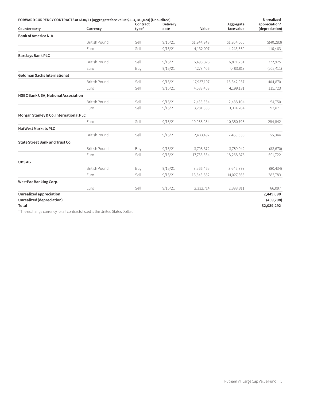| FORWARD CURRENCY CONTRACTS at 6/30/21 (aggregate face value \$113,181,024) (Unaudited) |                      |          |          |             | Unrealized  |                |
|----------------------------------------------------------------------------------------|----------------------|----------|----------|-------------|-------------|----------------|
|                                                                                        |                      | Contract | Delivery |             | Aggregate   | appreciation/  |
| Counterparty                                                                           | Currency             | type*    | date     | Value       | face value  | (depreciation) |
| Bank of America N.A.                                                                   |                      |          |          |             |             |                |
|                                                                                        | <b>British Pound</b> | Sell     | 9/15/21  | \$1,244,348 | \$1,204,065 | \$ (40, 283)   |
|                                                                                        | Euro                 | Sell     | 9/15/21  | 4,132,097   | 4,248,560   | 116,463        |
| <b>Barclays Bank PLC</b>                                                               |                      |          |          |             |             |                |
|                                                                                        | <b>British Pound</b> | Sell     | 9/15/21  | 16,498,326  | 16,871,251  | 372,925        |
|                                                                                        | Euro                 | Buy      | 9/15/21  | 7,278,406   | 7,483,817   | (205, 411)     |
| Goldman Sachs International                                                            |                      |          |          |             |             |                |
|                                                                                        | <b>British Pound</b> | Sell     | 9/15/21  | 17,937,197  | 18,342,067  | 404,870        |
|                                                                                        | Euro                 | Sell     | 9/15/21  | 4,083,408   | 4,199,131   | 115,723        |
| HSBC Bank USA, National Association                                                    |                      |          |          |             |             |                |
|                                                                                        | <b>British Pound</b> | Sell     | 9/15/21  | 2,433,354   | 2,488,104   | 54,750         |
|                                                                                        | Euro                 | Sell     | 9/15/21  | 3,281,333   | 3,374,204   | 92,871         |
| Morgan Stanley & Co. International PLC                                                 |                      |          |          |             |             |                |
|                                                                                        | Euro                 | Sell     | 9/15/21  | 10,065,954  | 10,350,796  | 284,842        |
| <b>NatWest Markets PLC</b>                                                             |                      |          |          |             |             |                |
|                                                                                        | <b>British Pound</b> | Sell     | 9/15/21  | 2,433,492   | 2,488,536   | 55,044         |
| State Street Bank and Trust Co.                                                        |                      |          |          |             |             |                |
|                                                                                        | <b>British Pound</b> | Buy      | 9/15/21  | 3,705,372   | 3,789,042   | (83, 670)      |
|                                                                                        | Euro                 | Sell     | 9/15/21  | 17,766,654  | 18,268,376  | 501,722        |
| <b>UBSAG</b>                                                                           |                      |          |          |             |             |                |
|                                                                                        | <b>British Pound</b> | Buy      | 9/15/21  | 3,566,465   | 3,646,899   | (80, 434)      |
|                                                                                        | Euro                 | Sell     | 9/15/21  | 13,643,582  | 14,027,365  | 383,783        |
| WestPac Banking Corp.                                                                  |                      |          |          |             |             |                |
|                                                                                        | Euro                 | Sell     | 9/15/21  | 2,332,714   | 2,398,811   | 66,097         |
| Unrealized appreciation                                                                |                      |          |          |             |             | 2,449,090      |
| Unrealized (depreciation)                                                              |                      |          |          |             |             | (409, 798)     |
| Total                                                                                  |                      |          |          |             |             | \$2,039,292    |

\* The exchange currency for all contracts listed is the United States Dollar.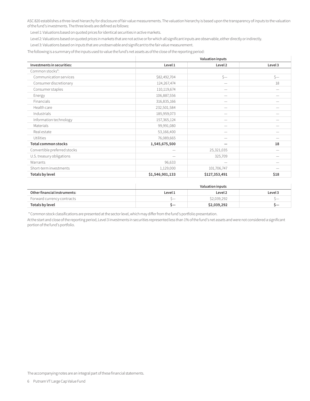ASC 820 establishes a three-level hierarchy for disclosure of fair value measurements. The valuation hierarchy is based upon the transparency of inputs to the valuation of the fund's investments. The three levels are defined as follows:

Level 1: Valuations based on quoted prices for identical securities in active markets.

Level 2: Valuations based on quoted prices in markets that are not active or for which all significant inputs are observable, either directly or indirectly.

Level 3: Valuations based on inputs that are unobservable and significant to the fair value measurement.

The following is a summary of the inputs used to value the fund's net assets as of the close of the reporting period:

|                              | <b>Valuation inputs</b> |                                 |          |  |  |
|------------------------------|-------------------------|---------------------------------|----------|--|--|
| Investments in securities:   | Level 1                 | Level 2                         | Level 3  |  |  |
| Common stocks*:              |                         |                                 |          |  |  |
| Communication services       | \$82,492,704            | $\zeta-$                        | $\zeta-$ |  |  |
| Consumer discretionary       | 124, 267, 474           | $\qquad \qquad$                 | 18       |  |  |
| Consumer staples             | 110,119,674             | $\qquad \qquad$                 |          |  |  |
| Energy                       | 106,887,556             | $\overline{\phantom{0}}$        |          |  |  |
| Financials                   | 316,835,166             |                                 |          |  |  |
| Health care                  | 232,501,584             | --                              |          |  |  |
| Industrials                  | 185,959,073             | —                               |          |  |  |
| Information technology       | 157,365,124             | $\overline{\phantom{0}}$        |          |  |  |
| Materials                    | 99,991,080              | $\overline{\phantom{m}}$        |          |  |  |
| Real estate                  | 53,166,400              | $\overline{\phantom{m}}$        |          |  |  |
| <b>Utilities</b>             | 76,089,665              | $\hspace{0.1mm}-\hspace{0.1mm}$ |          |  |  |
| <b>Total common stocks</b>   | 1,545,675,500           |                                 | 18       |  |  |
| Convertible preferred stocks |                         | 25,321,035                      |          |  |  |
| U.S. treasury obligations    |                         | 325,709                         |          |  |  |
| Warrants                     | 96,633                  |                                 |          |  |  |
| Short-term investments       | 1,129,000               | 101,706,747                     |          |  |  |
| Totals by level              | \$1,546,901,133         | \$127,353,491                   | \$18     |  |  |

|                              | Valuation inputs |             |         |
|------------------------------|------------------|-------------|---------|
| Other financial instruments: | Level 1          | Level 2     | Level 3 |
| Forward currency contracts   | $\sim$           | \$2,039,292 |         |
| Totals by level              |                  | \$2,039,292 |         |

\* Common stock classifications are presented at the sector level, which may differ from the fund's portfolio presentation.

At the start and close of the reporting period, Level 3 investments in securities represented less than 1% of the fund's net assets and were not considered a significant portion of the fund's portfolio.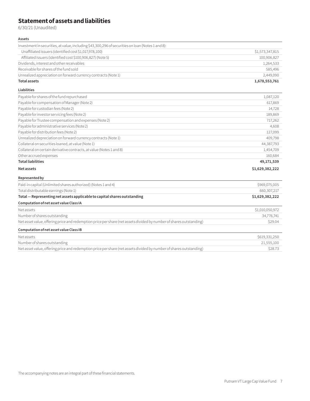# **Statement of assets and liabilities**

6/30/21 (Unaudited)

#### **Assets**

| Investment in securities, at value, including \$43,300,296 of securities on loan (Notes 1 and 8): |                 |
|---------------------------------------------------------------------------------------------------|-----------------|
| Unaffiliated issuers (identified cost \$1,017,978,100)                                            | \$1,573,347,815 |
| Affiliated issuers (identified cost \$100,906,827) (Note 5)                                       | 100,906,827     |
| Dividends, interest and other receivables                                                         | 1,264,533       |
| Receivable for shares of the fund sold                                                            | 585,496         |
| Unrealized appreciation on forward currency contracts (Note 1)                                    | 2.449.090       |
| <b>Total assets</b>                                                                               | 1,678,553,761   |

#### **Liabilities**

| Payable for shares of the fund repurchased                           | 1,087,120       |
|----------------------------------------------------------------------|-----------------|
| Payable for compensation of Manager (Note 2)                         | 617,869         |
| Payable for custodian fees (Note 2)                                  | 14,728          |
| Payable for investor servicing fees (Note 2)                         | 189,869         |
| Payable for Trustee compensation and expenses (Note 2)               | 717,262         |
| Payable for administrative services (Note 2)                         | 4,608           |
| Payable for distribution fees (Note 2)                               | 127,099         |
| Unrealized depreciation on forward currency contracts (Note 1)       | 409,798         |
| Collateral on securities loaned, at value (Note 1)                   | 44,387,793      |
| Collateral on certain derivative contracts, at value (Notes 1 and 8) | 1,454,709       |
| Other accrued expenses                                               | 160,684         |
| <b>Total liabilities</b>                                             | 49,171,539      |
| Net assets                                                           | \$1,629,382,222 |

#### **Represented by**

| Paid-in capital (Unlimited shares authorized) (Notes 1 and 4)                                                       | \$969,075,005   |
|---------------------------------------------------------------------------------------------------------------------|-----------------|
| Total distributable earnings (Note 1)                                                                               | 660,307,217     |
| Total - Representing net assets applicable to capital shares outstanding                                            | \$1,629,382,222 |
| Computation of net asset value Class IA                                                                             |                 |
| Net assets                                                                                                          | \$1,010,050,972 |
| Number of shares outstanding                                                                                        | 34,776,741      |
| Net asset value, offering price and redemption price per share (net assets divided by number of shares outstanding) | \$29.04         |
| Computation of net asset value Class IB                                                                             |                 |
| Net assets                                                                                                          | \$619,331,250   |
| Number of shares outstanding                                                                                        | 21,555,100      |
| Net asset value, offering price and redemption price per share (net assets divided by number of shares outstanding) | \$28.73         |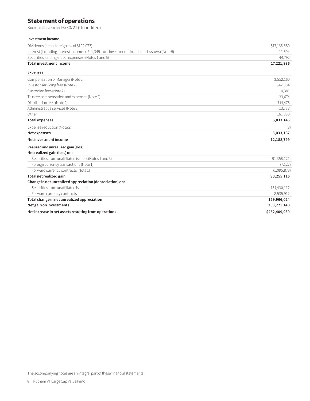# **Statement of operations**

Six months ended 6/30/21 (Unaudited)

#### **Investment income**

| Dividends (net of foreign tax of \$192,077)                                                      | \$17,165,550 |
|--------------------------------------------------------------------------------------------------|--------------|
| Interest (including interest income of \$11,345 from investments in affiliated issuers) (Note 5) | 11.594       |
| Securities lending (net of expenses) (Notes 1 and 5)                                             | 44.792       |
| Total investment income                                                                          | 17,221,936   |

#### **Expenses** Compensation of Manager (Note 2) 3,552,160 Investor servicing fees (Note 2) 542,884 Custodian fees (Note 2) 14,341 Trustee compensation and expenses (Note 2) 33,674 Distribution fees (Note 2) 714,475 Administrative services (Note 2) 13,773 Other 161,838 **Total expenses 5,033,145**  Expense reduction (Note 2) (8) **Net expenses 5,033,137 Net investment income 12,188,799 Realized and unrealized gain (loss) Net realized gain (loss) on:** Securities from unaffiliated issuers (Notes 1 and 3) 91,358,121 Foreign currency transactions (Note 1) (7,127) Forward currency contracts (Note 1) (1,095,878) **Total net realized gain 90,255,116 Change in net unrealized appreciation (depreciation) on:** Securities from unaffiliated issuers 157,430,112 Forward currency contracts 2,535,912

**Total change in net unrealized appreciation 159,966,024 Net gain on investments 250,221,140 Net increase in net assets resulting from operations \$262,409,939** 

The accompanying notes are an integral part of these financial statements.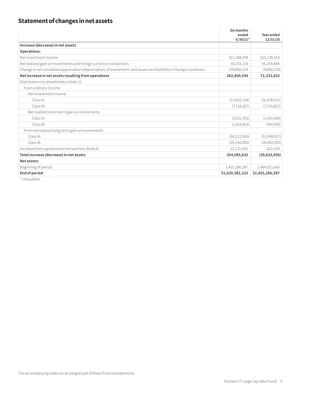# **Statement of changes in net assets**

|                                                                                                                      | Six months<br>ended<br>$6/30/21*$ | Year ended<br>12/31/20 |
|----------------------------------------------------------------------------------------------------------------------|-----------------------------------|------------------------|
| Increase (decrease) in net assets                                                                                    |                                   |                        |
| Operations:                                                                                                          |                                   |                        |
| Net investment income                                                                                                | \$12,188,799                      | \$25,139,319           |
| Net realized gain on investments and foreign currency transactions                                                   | 90,255,116                        | 56,254,484             |
| Change in net unrealized appreciation (depreciation) of investments and assets and liabilities in foreign currencies | 159,966,024                       | (9,060,193)            |
| Net increase in net assets resulting from operations                                                                 | 262,409,939                       | 72,333,610             |
| Distributions to shareholders (Note 1):                                                                              |                                   |                        |
| From ordinary income                                                                                                 |                                   |                        |
| Net investment income                                                                                                |                                   |                        |
| Class IA                                                                                                             | (13,902,194)                      | (16, 478, 052)         |
| Class IB                                                                                                             | (7, 118, 107)                     | (7, 739, 857)          |
| Net realized short-term gain on investments                                                                          |                                   |                        |
| Class IA                                                                                                             | (3,051,701)                       | (1,401,660)            |
| Class IB                                                                                                             | (1,814,815)                       | (760, 993)             |
| From net realized long-term gain on investments                                                                      |                                   |                        |
| Class IA                                                                                                             | (34, 212, 960)                    | (55,998,027)           |
| Class IB                                                                                                             | (20, 346, 092)                    | (30, 402, 605)         |
| Increase from capital share transactions (Note 4)                                                                    | 22,131,565                        | 822,528                |
| Total increase (decrease) in net assets                                                                              | 204,095,635                       | (39,625,056)           |
| Net assets:                                                                                                          |                                   |                        |
| Beginning of period                                                                                                  | 1,425,286,587                     | 1,464,911,643          |
| End of period                                                                                                        | \$1,629,382,222                   | \$1,425,286,587        |

\* Unaudited.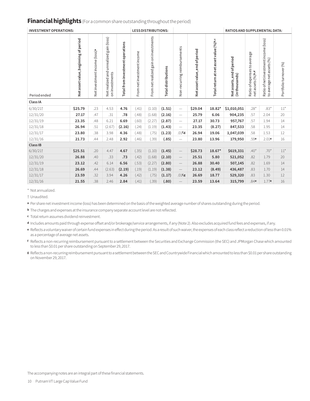### **Financial highlights** (For a common share outstanding throughout the period)

| <b>INVESTMENT OPERATIONS:</b> |                                      |                              |                                                           |                                  | <b>LESS DISTRIBUTIONS:</b> |                                             |                            |                                       |                                | RATIOS AND SUPPLEMENTAL DATA:          |                                            |                                                     |                                                                  |                        |
|-------------------------------|--------------------------------------|------------------------------|-----------------------------------------------------------|----------------------------------|----------------------------|---------------------------------------------|----------------------------|---------------------------------------|--------------------------------|----------------------------------------|--------------------------------------------|-----------------------------------------------------|------------------------------------------------------------------|------------------------|
| Period ended                  | Net asset value, beginning of period | Net investment income (loss) | Net realized and unrealized gain (loss)<br>on investments | Total from investment operations | From net investment income | on investments<br>gain<br>From net realized | <b>Total distributions</b> | Non-recurring reimbursements          | Net asset value, end of period | Total return at net asset value (%)b,c | Netassets, end of period<br>(in thousands) | expenses to average<br>netassets (%)b,d<br>Ratio of | Ratio of net investment income (loss)<br>to averagenetassets (%) | Portfolio turnover (%) |
| Class IA                      |                                      |                              |                                                           |                                  |                            |                                             |                            |                                       |                                |                                        |                                            |                                                     |                                                                  |                        |
| 6/30/21                       | \$25.79                              | .23                          | 4.53                                                      | 4.76                             | (.41)                      | (1.10)                                      | (1.51)                     | $\qquad \qquad$                       | \$29.04                        | 18.82*                                 | \$1,010,051                                | $.28*$                                              | $.83*$                                                           | $11*$                  |
| 12/31/20                      | 27.17                                | .47                          | .31                                                       | .78                              | (.48)                      | (1.68)                                      | (2.16)                     | $\overline{\phantom{m}}$              | 25.79                          | 6.06                                   | 904,235                                    | .57                                                 | 2.04                                                             | 20                     |
| 12/31/19                      | 23.35                                | .48                          | 6.21                                                      | 6.69                             | (.60)                      | (2.27)                                      | (2.87)                     | $\hspace{1.0cm} \rule{1.5cm}{0.15cm}$ | 27.17                          | 30.73                                  | 957,767                                    | .57                                                 | 1.94                                                             | 14                     |
| 12/31/18                      | 26.94                                | .51                          | (2.67)                                                    | (2.16)                           | (.24)                      | (1.19)                                      | (1.43)                     |                                       | 23.35                          | (8.27)                                 | 847,533                                    | .58                                                 | 1.95                                                             | 14                     |
| 12/31/17                      | 23.80                                | .38                          | 3.98                                                      | 4.36                             | (.48)                      | (.75)                                       | (1.23)                     | $.01$ f,g                             | 26.94                          | 19.06                                  | 1,047,039                                  | .58                                                 | 1.53                                                             | 12                     |
| 12/31/16                      | 21.73                                | .44                          | 2.48                                                      | 2.92                             | (.46)                      | (.39)                                       | (.85)                      | $\qquad \qquad$                       | 23.80                          | 13.96                                  | 179,950                                    | .59e                                                | 2.01 <sup>e</sup>                                                | 16                     |
| Class IB                      |                                      |                              |                                                           |                                  |                            |                                             |                            |                                       |                                |                                        |                                            |                                                     |                                                                  |                        |
| 6/30/21                       | \$25.51                              | .20                          | 4.47                                                      | 4.67                             | (.35)                      | (1.10)                                      | (1.45)                     | $\qquad \qquad -$                     | \$28.73                        | 18.67*                                 | \$619,331                                  | $.40*$                                              | $.70*$                                                           | $11*$                  |
| 12/31/20                      | 26.88                                | .40                          | .33                                                       | .73                              | (.42)                      | (1.68)                                      | (2.10)                     | $\overline{\phantom{m}}$              | 25.51                          | 5.80                                   | 521,052                                    | .82                                                 | 1.79                                                             | 20                     |
| 12/31/19                      | 23.12                                | .42                          | 6.14                                                      | 6.56                             | (.53)                      | (2.27)                                      | (2.80)                     | $\overline{\phantom{m}}$              | 26.88                          | 30.40                                  | 507,145                                    | .82                                                 | 1.69                                                             | 14                     |
| 12/31/18                      | 26.69                                | .44                          | (2.63)                                                    | (2.19)                           | (.19)                      | (1.19)                                      | (1.38)                     | $\overline{\phantom{m}}$              | 23.12                          | (8.49)                                 | 436,487                                    | .83                                                 | 1.70                                                             | 14                     |
| 12/31/17                      | 23.59                                | .32                          | 3.94                                                      | 4.26                             | (.42)                      | (.75)                                       | (1.17)                     | $.01$ f,g                             | 26.69                          | 18.77                                  | 529,320                                    | .83                                                 | 1.30                                                             | 12                     |
| 12/31/16                      | 21.55                                | .38                          | 2.46                                                      | 2.84                             | (.41)                      | (.39)                                       | (.80)                      | $\qquad \qquad -$                     | 23.59                          | 13.64                                  | 315,799                                    | .84e                                                | 1.77e                                                            | 16                     |

\* Not annualized.

† Unaudited.

**<sup>a</sup>** Per share net investment income (loss) has been determined on the basis of the weighted average number of shares outstanding during the period.

**<sup>b</sup>** The charges and expenses at the insurance company separate account level are not reflected.

**<sup>c</sup>** Total return assumes dividend reinvestment.

**<sup>d</sup>** Includes amounts paid through expense offset and/or brokerage/service arrangements, if any (Note 2). Also excludes acquired fund fees and expenses, if any.

**<sup>e</sup>** Reflects a voluntary waiver of certain fund expenses in effect during the period. As a result of such waiver, the expenses of each class reflect a reduction of less than 0.01% as a percentage of average net assets.

**<sup>f</sup>** Reflects a non-recurring reimbursement pursuant to a settlement between the Securities and Exchange Commission (the SEC) and JPMorgan Chase which amounted to less than \$0.01 per share outstanding on September 29, 2017.

**<sup>g</sup>** Reflects a non-recurring reimbursement pursuant to a settlement between the SEC and Countrywide Financial which amounted to less than \$0.01 per share outstanding on November 29, 2017.

The accompanying notes are an integral part of these financial statements.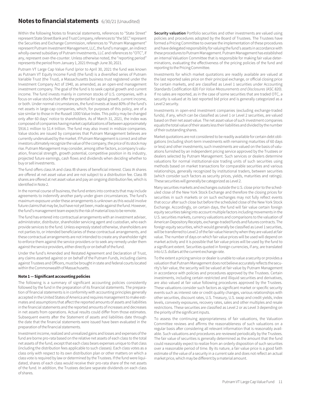# **Notes to financial statements** 6/30/21 (Unaudited)

Within the following Notes to financial statements, references to "State Street" represent State Street Bank and Trust Company, references to "the SEC" represent the Securities and Exchange Commission, references to "Putnam Management" represent Putnam Investment Management, LLC, the fund's manager, an indirect wholly-owned subsidiary of Putnam Investments, LLC and references to "OTC", if any, represent over-the-counter. Unless otherwise noted, the "reporting period" represents the period from January 1, 2021 through June 30, 2021.

Putnam VT Large Cap Value Fund (prior to April 30, 2021 the fund was known as Putnam VT Equity Income Fund) (the fund) is a diversified series of Putnam Variable Trust (the Trust), a Massachusetts business trust registered under the Investment Company Act of 1940, as amended, as an open-end management investment company. The goal of the fund is to seek capital growth and current income. The fund invests mainly in common stocks of U.S. companies, with a focus on value stocks that offer the potential for capital growth, current income, or both. Under normal circumstances, the fund invests at least 80% of the fund's net assets in large-cap companies, which, for purposes of this policy, are of a size similar to those in the Russell 1000 Value Index. This policy may be changed only after 60 days' notice to shareholders. As of March 31, 2021, the index was composed of companies having market capitalizations of between approximately \$916.1 million to \$1.4 trillion. The fund may also invest in midsize companies. Value stocks are issued by companies that Putnam Management believes are currently undervalued by the market. If Putnam Management is correct and other investors ultimately recognize the value of the company, the price of its stock may rise. Putnam Management may consider, among other factors, a company's valuation, financial strength, growth potential, competitive position in its industry, projected future earnings, cash flows and dividends when deciding whether to buy or sell investments.

The fund offers class IA and class IB shares of beneficial interest. Class IA shares are offered at net asset value and are not subject to a distribution fee. Class IB shares are offered at net asset value and pay an ongoing distribution fee, which is identified in Note 2.

In the normal course of business, the fund enters into contracts that may include agreements to indemnify another party under given circumstances. The fund's maximum exposure under these arrangements is unknown as this would involve future claims that may be, but have not yet been, made against the fund. However, the fund's management team expects the risk of material loss to be remote.

The fund has entered into contractual arrangements with an investment adviser, administrator, distributor, shareholder servicing agent and custodian, who each provide services to the fund. Unless expressly stated otherwise, shareholders are not parties to, or intended beneficiaries of these contractual arrangements, and these contractual arrangements are not intended to create any shareholder right to enforce them against the service providers or to seek any remedy under them against the service providers, either directly or on behalf of the fund.

Under the fund's Amended and Restated Agreement and Declaration of Trust, any claims asserted against or on behalf of the Putnam Funds, including claims against Trustees and Officers, must be brought in state and federal courts located within the Commonwealth of Massachusetts.

#### **Note 1 — Significant accounting policies**

The following is a summary of significant accounting policies consistently followed by the fund in the preparation of its financial statements. The preparation of financial statements is in conformity with accounting principles generally accepted in the United States of America and requires management to make estimates and assumptions that affect the reported amounts of assets and liabilities in the financial statements and the reported amounts of increases and decreases in net assets from operations. Actual results could differ from those estimates. Subsequent events after the Statement of assets and liabilities date through the date that the financial statements were issued have been evaluated in the preparation of the financial statements.

Investment income, realized and unrealized gains and losses and expenses of the fund are borne pro-rata based on the relative net assets of each class to the total net assets of the fund, except that each class bears expenses unique to that class (including the distribution fees applicable to such classes). Each class votes as a class only with respect to its own distribution plan or other matters on which a class vote is required by law or determined by the Trustees. If the fund were liquidated, shares of each class would receive their pro-rata share of the net assets of the fund. In addition, the Trustees declare separate dividends on each class of shares.

**Security valuation** Portfolio securities and other investments are valued using policies and procedures adopted by the Board of Trustees. The Trustees have formed a Pricing Committee to oversee the implementation of these procedures and have delegated responsibility for valuing the fund's assets in accordance with these procedures to Putnam Management. Putnam Management has established an internal Valuation Committee that is responsible for making fair value determinations, evaluating the effectiveness of the pricing policies of the fund and reporting to the Pricing Committee.

Investments for which market quotations are readily available are valued at the last reported sales price on their principal exchange, or official closing price for certain markets, and are classified as Level 1 securities under Accounting Standards Codification 820 *Fair Value Measurements and Disclosures* (ASC 820). If no sales are reported, as in the case of some securities that are traded OTC, a security is valued at its last reported bid price and is generally categorized as a Level 2 security.

Investments in open-end investment companies (excluding exchange-traded funds), if any, which can be classified as Level 1 or Level 2 securities, are valued based on their net asset value. The net asset value of such investment companies equals the total value of their assets less their liabilities and divided by the number of their outstanding shares.

Market quotations are not considered to be readily available for certain debt obligations (including short-term investments with remaining maturities of 60 days or less) and other investments; such investments are valued on the basis of valuations furnished by an independent pricing service approved by the Trustees or dealers selected by Putnam Management. Such services or dealers determine valuations for normal institutional-size trading units of such securities using methods based on market transactions for comparable securities and various relationships, generally recognized by institutional traders, between securities (which consider such factors as security prices, yields, maturities and ratings). These securities will generally be categorized as Level 2.

Many securities markets and exchanges outside the U.S. close prior to the scheduled close of the New York Stock Exchange and therefore the closing prices for securities in such markets or on such exchanges may not fully reflect events that occur after such close but before the scheduled close of the New York Stock Exchange. Accordingly, on certain days, the fund will fair value certain foreign equity securities taking into account multiple factors including movements in the U.S. securities markets, currency valuations and comparisons to the valuation of American Depository Receipts, exchange-traded funds and futures contracts. The foreign equity securities, which would generally be classified as Level 1 securities, will be transferred to Level 2 of the fair value hierarchy when they are valued at fair value. The number of days on which fair value prices will be used will depend on market activity and it is possible that fair value prices will be used by the fund to a significant extent. Securities quoted in foreign currencies, if any, are translated into U.S. dollars at the current exchange rate.

To the extent a pricing service or dealer is unable to value a security or provides a valuation that Putnam Management does not believe accurately reflects the security's fair value, the security will be valued at fair value by Putnam Management in accordance with policies and procedures approved by the Trustees. Certain investments, including certain restricted and illiquid securities and derivatives, are also valued at fair value following procedures approved by the Trustees. These valuations consider such factors as significant market or specific security events such as interest rate or credit quality changes, various relationships with other securities, discount rates, U.S. Treasury, U.S. swap and credit yields, index levels, convexity exposures, recovery rates, sales and other multiples and resale restrictions. These securities are classified as Level 2 or as Level 3 depending on the priority of the significant inputs.

To assess the continuing appropriateness of fair valuations, the Valuation Committee reviews and affirms the reasonableness of such valuations on a regular basis after considering all relevant information that is reasonably available. Such valuations and procedures are reviewed periodically by the Trustees. The fair value of securities is generally determined as the amount that the fund could reasonably expect to realize from an orderly disposition of such securities over a reasonable period of time. By its nature, a fair value price is a good faith estimate of the value of a security in a current sale and does not reflect an actual market price, which may be different by a material amount.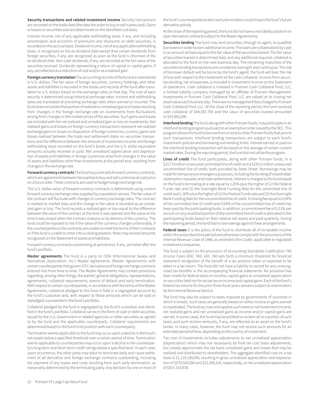**Security transactions and related investment income** Security transactions are recorded on the trade date (the date the order to buy or sell is executed). Gains or losses on securities sold are determined on the identified cost basis.

Interest income, net of any applicable withholding taxes, if any, and including amortization and accretion of premiums and discounts on debt securities, is recorded on the accrual basis. Dividend income, net of any applicable withholding taxes, is recognized on the ex-dividend date except that certain dividends from foreign securities, if any, are recognized as soon as the fund is informed of the ex-dividend date. Non-cash dividends, if any, are recorded at the fair value of the securities received. Dividends representing a return of capital or capital gains, if any, are reflected as a reduction of cost and/or as a realized gain.

**Foreign currency translation** The accounting records of the fund are maintained in U.S. dollars. The fair value of foreign securities, currency holdings, and other assets and liabilities is recorded in the books and records of the fund after translation to U.S. dollars based on the exchange rates on that day. The cost of each security is determined using historical exchange rates. Income and withholding taxes are translated at prevailing exchange rates when earned or incurred. The fund does not isolate that portion of realized or unrealized gains or losses resulting from changes in the foreign exchange rate on investments from fluctuations arising from changes in the market prices of the securities. Such gains and losses are included with the net realized and unrealized gain or loss on investments. Net realized gains and losses on foreign currency transactions represent net realized exchange gains or losses on disposition of foreign currencies, currency gains and losses realized between the trade and settlement dates on securities transactions and the difference between the amount of investment income and foreign withholding taxes recorded on the fund's books and the U.S. dollar equivalent amounts actually received or paid. Net unrealized appreciation and depreciation of assets and liabilities in foreign currencies arise from changes in the value of assets and liabilities other than investments at the period end, resulting from changes in the exchange rate.

**Forward currency contracts** The fund buys and sells forward currency contracts, which are agreements between two parties to buy and sell currencies at a set price on a future date. These contracts are used to hedge foreign exchange risk.

The U.S. dollar value of forward currency contracts is determined using current forward currency exchange rates supplied by a quotation service. The fair value of the contract will fluctuate with changes in currency exchange rates. The contract is marked to market daily and the change in fair value is recorded as an unrealized gain or loss. The fund records a realized gain or loss equal to the difference between the value of the contract at the time it was opened and the value at the time it was closed when the contract matures or by delivery of the currency. The fund could be exposed to risk if the value of the currency changes unfavorably, if the counterparties to the contracts are unable to meet the terms of their contracts or if the fund is unable to enter into a closing position. Risks may exceed amounts recognized on the Statement of assets and liabilities.

Forward currency contracts outstanding at period end, if any, are listed after the fund's portfolio.

**Master agreements** The fund is a party to ISDA (International Swaps and Derivatives Association, Inc.) Master Agreements (Master Agreements) with certain counterparties that govern OTC derivative and foreign exchange contracts entered into from time to time. The Master Agreements may contain provisions regarding, among other things, the parties' general obligations, representations, agreements, collateral requirements, events of default and early termination. With respect to certain counterparties, in accordance with the terms of the Master Agreements, collateral pledged to the fund is held in a segregated account by the fund's custodian and, with respect to those amounts which can be sold or repledged, is presented in the fund's portfolio.

Collateral pledged by the fund is segregated by the fund's custodian and identified in the fund's portfolio. Collateral can be in the form of cash or debt securities issued by the U.S. Government or related agencies or other securities as agreed to by the fund and the applicable counterparty. Collateral requirements are determined based on the fund's net position with each counterparty.

Termination events applicable to the fund may occur upon a decline in the fund's net assets below a specified threshold over a certain period of time. Termination events applicable to counterparties may occur upon a decline in the counterparty's long-term and short-term credit ratings below a specified level. In each case, upon occurrence, the other party may elect to terminate early and cause settlement of all derivative and foreign exchange contracts outstanding, including the payment of any losses and costs resulting from such early termination, as reasonably determined by the terminating party. Any decision by one or more of the fund's counterparties to elect early termination could impact the fund's future derivative activity.

At the close of the reporting period, the fund did not have a net liability position on open derivative contracts subject to the Master Agreements**.**

**Securities lending** The fund may lend securities, through its agent, to qualified borrowers in order to earn additional income. The loans are collateralized by cash in an amount at least equal to the fair value of the securities loaned. The fair value of securities loaned is determined daily and any additional required collateral is allocated to the fund on the next business day. The remaining maturities of the securities lending transactions are considered overnight and continuous. The risk of borrower default will be borne by the fund's agent; the fund will bear the risk of loss with respect to the investment of the cash collateral. Income from securities lending, net of expenses, is included in investment income on the Statement of operations. Cash collateral is invested in Putnam Cash Collateral Pool, LLC, a limited liability company managed by an affiliate of Putnam Management. Investments in Putnam Cash Collateral Pool, LLC are valued at its closing net asset value each business day. There are no management fees charged to Putnam Cash Collateral Pool, LLC. At the close of the reporting period, the fund received cash collateral of \$44,387,793 and the value of securities loaned amounted to \$43,300,296.

**Interfund lending** The fund, along with other Putnam funds, may participate in an interfund lending program pursuant to an exemptive order issued by the SEC. This program allows the fund to borrow from or lend to other Putnam funds that permit such transactions. Interfund lending transactions are subject to each fund's investment policies and borrowing and lending limits. Interest earned or paid on the interfund lending transaction will be based on the average of certain current market rates. During the reporting period, the fund did not utilize the program.

**Lines of credit** The fund participates, along with other Putnam funds, in a \$317.5 million unsecured committed line of credit and a \$235.5 million unsecured uncommitted line of credit, both provided by State Street. Borrowings may be made for temporary or emergency purposes, including the funding of shareholder redemption requests and trade settlements. Interest is charged to the fund based on the fund's borrowing at a rate equal to 1.25% plus the higher of (1) the Federal Funds rate and (2) the Overnight Bank Funding Rate for the committed line of credit and 1.30% plus the higher of (1) the Federal Funds rate and (2) the Overnight Bank Funding Rate for the uncommitted line of credit. A closing fee equal to 0.04% of the committed line of credit and 0.04% of the uncommitted line of credit has been paid by the participating funds. In addition, a commitment fee of 0.21% per annum on any unutilized portion of the committed line of credit is allocated to the participating funds based on their relative net assets and paid quarterly. During the reporting period, the fund had no borrowings against these arrangements.

**Federal taxes** It is the policy of the fund to distribute all of its taxable income within the prescribed time period and otherwise comply with the provisions of the Internal Revenue Code of 1986, as amended (the Code), applicable to regulated investment companies.

The fund is subject to the provisions of Accounting Standards Codification 740 *Income Taxes* (ASC 740). ASC 740 sets forth a minimum threshold for financial statement recognition of the benefit of a tax position taken or expected to be taken in a tax return. The fund did not have a liability to record for any unrecognized tax benefits in the accompanying financial statements. No provision has been made for federal taxes on income, capital gains or unrealized appreciation on securities held nor for excise tax on income and capital gains. Each of the fund's federal tax returns for the prior three fiscal years remains subject to examination by the Internal Revenue Service.

The fund may also be subject to taxes imposed by governments of countries in which it invests. Such taxes are generally based on either income or gains earned or repatriated. The fund accrues and applies such taxes to net investment income, net realized gains and net unrealized gains as income and/or capital gains are earned. In some cases, the fund may be entitled to reclaim all or a portion of such taxes, and such reclaim amounts, if any, are reflected as an asset on the fund's books. In many cases, however, the fund may not receive such amounts for an extended period of time, depending on the country of investment.

Tax cost of investments includes adjustments to net unrealized appreciation (depreciation) which may not necessarily be final tax cost basis adjustments, but closely approximate the tax basis unrealized gains and losses that may be realized and distributed to shareholders. The aggregate identified cost on a tax basis is \$1,119,140,056, resulting in gross unrealized appreciation and depreciation of \$579,503,094 and \$22,349,216, respectively, or net unrealized appreciation of \$557,153,878.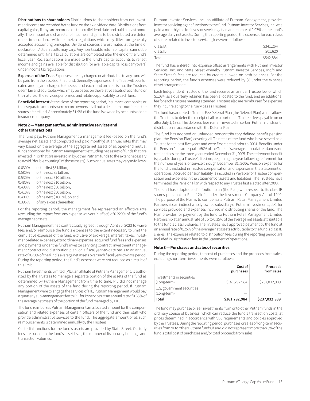**Distributions to shareholders** Distributions to shareholders from net investment income are recorded by the fund on the ex-dividend date. Distributions from capital gains, if any, are recorded on the ex-dividend date and paid at least annually. The amount and character of income and gains to be distributed are determined in accordance with income tax regulations, which may differ from generally accepted accounting principles. Dividend sources are estimated at the time of declaration. Actual results may vary. Any non-taxable return of capital cannot be determined until final tax calculations are completed after the end of the fund's fiscal year. Reclassifications are made to the fund's capital accounts to reflect income and gains available for distribution (or available capital loss carryovers) under income tax regulations.

**Expenses of the Trust** Expenses directly charged or attributable to any fund will be paid from the assets of that fund. Generally, expenses of the Trust will be allocated among and charged to the assets of each fund on a basis that the Trustees deem fair and equitable, which may be based on the relative assets of each fund or the nature of the services performed and relative applicability to each fund.

**Beneficial interest** At the close of the reporting period, insurance companies or their separate accounts were record owners of all but a de minimis number of the shares of the fund. Approximately 31.9% of the fund is owned by accounts of one insurance company.

#### **Note 2 — Management fee, administrative services and other transactions**

The fund pays Putnam Management a management fee (based on the fund's average net assets and computed and paid monthly) at annual rates that may vary based on the average of the aggregate net assets of all open-end mutual funds sponsored by Putnam Management (excluding net assets of funds that are invested in, or that are invested in by, other Putnam funds to the extent necessary to avoid "double counting" of those assets). Such annual rates may vary as follows:

| 0.630% | of the first \$5 billion,     |
|--------|-------------------------------|
| 0.580% | of the next \$5 billion,      |
| 0.530% | of the next \$10 billion,     |
| 0.480% | of the next \$10 billion,     |
| 0.430% | of the next \$50 billion,     |
| 0.410% | of the next \$50 billion,     |
| 0.400% | of the next \$100 billion and |
| 0.395% | of any excess thereafter.     |

For the reporting period, the management fee represented an effective rate (excluding the impact from any expense waivers in effect) of 0.229% of the fund's average net assets.

Putnam Management has contractually agreed, through April 30, 2023 to waive fees and/or reimburse the fund's expenses to the extent necessary to limit the cumulative expenses of the fund, exclusive of brokerage, interest, taxes, investment-related expenses, extraordinary expenses, acquired fund fees and expenses and payments under the fund's investor servicing contract, investment management contract and distribution plan, on a fiscal year-to-date basis to an annual rate of 0.20% of the fund's average net assets over such fiscal year-to-date period. During the reporting period, the fund's expenses were not reduced as a result of this limit.

Putnam Investments Limited (PIL), an affiliate of Putnam Management, is authorized by the Trustees to manage a separate portion of the assets of the fund as determined by Putnam Management from time to time. PIL did not manage any portion of the assets of the fund during the reporting period. If Putnam Management were to engage the services of PIL, Putnam Management would pay a quarterly sub-management fee to PIL for its services at an annual rate of 0.35% of the average net assets of the portion of the fund managed by PIL.

The fund reimburses Putnam Management an allocated amount for the compensation and related expenses of certain officers of the fund and their staff who provide administrative services to the fund. The aggregate amount of all such reimbursements is determined annually by the Trustees.

Custodial functions for the fund's assets are provided by State Street. Custody fees are based on the fund's asset level, the number of its security holdings and transaction volumes.

Putnam Investor Services, Inc., an affiliate of Putnam Management, provides investor servicing agent functions to the fund. Putnam Investor Services, Inc. was paid a monthly fee for investor servicing at an annual rate of 0.07% of the fund's average daily net assets. During the reporting period, the expenses for each class of shares related to investor servicing fees were as follows:

| Class IA | \$341.264 |
|----------|-----------|
| Class IB | 201.620   |
| Total    | \$542,884 |

The fund has entered into expense offset arrangements with Putnam Investor Services, Inc. and State Street whereby Putnam Investor Services, Inc.'s and State Street's fees are reduced by credits allowed on cash balances. For the reporting period, the fund's expenses were reduced by \$8 under the expense offset arrangements.

Each Independent Trustee of the fund receives an annual Trustee fee, of which \$1,034, as a quarterly retainer, has been allocated to the fund, and an additional fee for each Trustees meeting attended. Trustees also are reimbursed for expenses they incur relating to their services as Trustees.

The fund has adopted a Trustee Fee Deferral Plan (the Deferral Plan) which allows the Trustees to defer the receipt of all or a portion of Trustees fees payable on or after July 1, 1995. The deferred fees remain invested in certain Putnam funds until distribution in accordance with the Deferral Plan.

The fund has adopted an unfunded noncontributory defined benefit pension plan (the Pension Plan) covering all Trustees of the fund who have served as a Trustee for at least five years and were first elected prior to 2004. Benefits under the Pension Plan are equal to 50% of the Trustee's average annual attendance and retainer fees for the three years ended December 31, 2005. The retirement benefit is payable during a Trustee's lifetime, beginning the year following retirement, for the number of years of service through December 31, 2006. Pension expense for the fund is included in Trustee compensation and expenses in the Statement of operations. Accrued pension liability is included in Payable for Trustee compensation and expenses in the Statement of assets and liabilities. The Trustees have terminated the Pension Plan with respect to any Trustee first elected after 2003.

The fund has adopted a distribution plan (the Plan) with respect to its class IB shares pursuant to Rule 12b–1 under the Investment Company Act of 1940. The purpose of the Plan is to compensate Putnam Retail Management Limited Partnership, an indirect wholly-owned subsidiary of Putnam Investments, LLC, for services provided and expenses incurred in distributing shares of the fund. The Plan provides for payment by the fund to Putnam Retail Management Limited Partnership at an annual rate of up to 0.35% of the average net assets attributable to the fund's class IB shares. The Trustees have approved payment by the fund at an annual rate of 0.25% of the average net assets attributable to the fund's class IB shares. The expenses related to distribution fees during the reporting period are included in Distribution fees in the Statement of operations.

#### **Note 3 — Purchases and sales of securities**

During the reporting period, the cost of purchases and the proceeds from sales, excluding short-term investments, were as follows:

|                                           | Cost of<br>purchases | Proceeds<br>from sales |
|-------------------------------------------|----------------------|------------------------|
| Investments in securities<br>(Long-term)  | \$161,792,984        | \$237,032,939          |
| U.S. government securities<br>(Long-term) |                      |                        |
| Total                                     | \$161,792,984        | \$237,032,939          |

The fund may purchase or sell investments from or to other Putnam funds in the ordinary course of business, which can reduce the fund's transaction costs, at prices determined in accordance with SEC requirements and policies approved by the Trustees. During the reporting period, purchases or sales of long-term securities from or to other Putnam funds, if any, did not represent more than 5% of the fund's total cost of purchases and/or total proceeds from sales.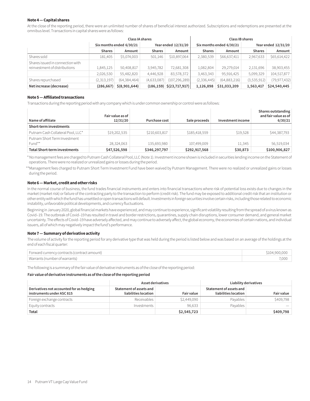#### **Note 4 — Capital shares**

At the close of the reporting period, there were an unlimited number of shares of beneficial interest authorized. Subscriptions and redemptions are presented at the omnibus level. Transactions in capital shares were as follows:

|                                                                   | <b>Class IA shares</b>   |                |                     |                        |               | Class IB shares          |                     |                |  |
|-------------------------------------------------------------------|--------------------------|----------------|---------------------|------------------------|---------------|--------------------------|---------------------|----------------|--|
|                                                                   | Six months ended 6/30/21 |                | Year ended 12/31/20 |                        |               | Six months ended 6/30/21 | Year ended 12/31/20 |                |  |
|                                                                   | <b>Shares</b>            | Amount         | <b>Shares</b>       | Amount                 | <b>Shares</b> | Amount                   | <b>Shares</b>       | Amount         |  |
| Shares sold                                                       | 181,405                  | \$5,074,003    | 501,146             | \$10,897,064           | 2,380,539     | \$66,637,411             | 2,967,633           | \$65,614,422   |  |
| Shares issued in connection with<br>reinvestment of distributions | 1,845,125                | 50,408,817     | 3,945,782           | 72,681,308             | 1,082,804     | 29,279,014               | 2,131,696           | 38,903,455     |  |
|                                                                   | 2,026,530                | 55,482,820     | 4,446,928           | 83,578,372             | 3,463,343     | 95,916,425               | 5,099,329           | 104,517,877    |  |
| Shares repurchased                                                | (2, 313, 197)            | (64, 384, 464) | (4,633,087)         | (107, 296, 289)        | (2,336,445)   | (64,883,216)             | (3,535,912)         | (79, 977, 432) |  |
| Net increase (decrease)                                           | (286, 667)               | \$(8,901,644)  | (186, 159)          | $\vert$ \$(23,717,917) | 1,126,898     | \$31,033,209             | 1,563,417           | \$24,540,445   |  |

#### **Note 5 — Affiliated transactions**

Transactions during the reporting period with any company which is under common ownership or control were as follows:

| Name of affiliate                      | Fair value as of<br>12/31/20 | Purchase cost | Sale proceeds | Investment income | Shares outstanding<br>and fair value as of<br>6/30/21 |
|----------------------------------------|------------------------------|---------------|---------------|-------------------|-------------------------------------------------------|
| Short-term investments                 |                              |               |               |                   |                                                       |
| Putnam Cash Collateral Pool, LLC*      | \$19,202,535                 | \$210,603,817 | \$185,418,559 | \$19.528          | \$44,387,793                                          |
| Putnam Short Term Investment<br>Fund** | 28,324,063                   | 135,693,980   | 107,499,009   | 11.345            | 56,519,034                                            |
| <b>Total Short-term investments</b>    | \$47,526,598                 | \$346,297,797 | \$292,917,568 | \$30,873          | \$100,906,827                                         |

 \*No management fees are charged to Putnam Cash Collateral Pool, LLC (Note 1). Investment income shown is included in securities lending income on the Statement of operations. There were no realized or unrealized gains or losses during the period.

\*\*Management fees charged to Putnam Short Term Investment Fund have been waived by Putnam Management. There were no realized or unrealized gains or losses during the period.

#### **Note 6 — Market, credit and other risks**

In the normal course of business, the fund trades financial instruments and enters into financial transactions where risk of potential loss exists due to changes in the market (market risk) or failure of the contracting party to the transaction to perform (credit risk). The fund may be exposed to additional credit risk that an institution or other entity with which the fund has unsettled or open transactions will default. Investments in foreign securities involve certain risks, including those related to economic instability, unfavorable political developments, and currency fluctuations.

Beginning in January 2020, global financial markets have experienced, and may continue to experience, significant volatility resulting from the spread of a virus known as Covid–19. The outbreak of Covid–19 has resulted in travel and border restrictions, quarantines, supply chain disruptions, lower consumer demand, and general market uncertainty. The effects of Covid–19 have adversely affected, and may continue to adversely affect, the global economy, the economies of certain nations, and individual issuers, all of which may negatively impact the fund's performance.

#### **Note 7 — Summary of derivative activity**

The volume of activity for the reporting period for any derivative type that was held during the period is listed below and was based on an average of the holdings at the end of each fiscal quarter:

| Forward currency contracts (contract amount) | \$104.900.000 |
|----------------------------------------------|---------------|
| Warrants (number of warrants)                | 000.'         |

The following is a summary of the fair value of derivative instruments as of the close of the reporting period:

#### **Fair value of derivative instruments as of the close of the reporting period**

|                                                                       | Asset derivatives                               |                   |                                                 | Liability derivatives |
|-----------------------------------------------------------------------|-------------------------------------------------|-------------------|-------------------------------------------------|-----------------------|
| Derivatives not accounted for as hedging<br>instruments under ASC 815 | Statement of assets and<br>liabilities location | <b>Fair value</b> | Statement of assets and<br>liabilities location | <b>Fair value</b>     |
| Foreign exchange contracts                                            | Receivables                                     | \$2,449,090       | Pavables                                        | \$409,798             |
| Equity contracts                                                      | Investments                                     | 96.633            | Payables                                        |                       |
| Total                                                                 |                                                 | \$2,545,723       |                                                 | \$409,798             |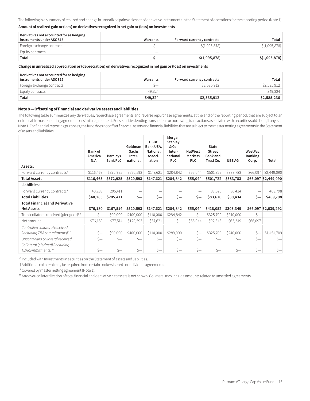The following is a summary of realized and change in unrealized gains or losses of derivative instruments in the Statement of operations for the reporting period (Note 1):

#### **Amount of realized gain or (loss) on derivatives recognized in net gain or (loss) on investments**

| Derivatives not accounted for as hedging |          |                            |               |
|------------------------------------------|----------|----------------------------|---------------|
| instruments under ASC 815                | Warrants | Forward currency contracts | Total         |
| Foreign exchange contracts               | `-       | \$(1,095,878)              | \$(1,095,878) |
| Equity contracts                         | _        | $\overline{\phantom{0}}$   |               |
| Total                                    | `−       | \$(1,095,878)              | \$(1,095,878) |

#### **Change in unrealized appreciation or (depreciation) on derivatives recognized in net gain or (loss) on investments**

| Derivatives not accounted for as hedging |                          |                            |             |
|------------------------------------------|--------------------------|----------------------------|-------------|
| $^{\shortmid}$ instruments under ASC 815 | Warrants                 | Forward currency contracts | Total       |
| Foreign exchange contracts               | $\overline{\phantom{0}}$ | \$2,535,912                | \$2,535,912 |
| Equity contracts                         | 49.324                   | $-$                        | \$49.324    |
| Total                                    | \$49,324                 | \$2,535,912                | \$2,585,236 |

#### **Note 8 — Offsetting of financial and derivative assets and liabilities**

The following table summarizes any derivatives, repurchase agreements and reverse repurchase agreements, at the end of the reporting period, that are subject to an enforceable master netting agreement or similar agreement. For securities lending transactions or borrowing transactions associated with securities sold short, if any, see Note 1. For financial reporting purposes, the fund does not offset financial assets and financial liabilities that are subject to the master netting agreements in the Statement of assets and liabilities.

|                                                    | <b>Bank of</b><br>America<br>N.A. | <b>Barclays</b><br><b>Bank PLC</b> | Goldman<br>Sachs<br>Inter-<br>national | <b>HSBC</b><br>Bank USA,<br><b>National</b><br>Associ-<br>ation | Morgan<br>Stanley<br>& Co.<br>Inter-<br>national<br><b>PLC</b> | <b>NatWest</b><br><b>Markets</b><br><b>PLC</b> | <b>State</b><br><b>Street</b><br><b>Bank</b> and<br>Trust Co. | <b>UBSAG</b> | WestPac<br><b>Banking</b><br>Corp. | Total                |
|----------------------------------------------------|-----------------------------------|------------------------------------|----------------------------------------|-----------------------------------------------------------------|----------------------------------------------------------------|------------------------------------------------|---------------------------------------------------------------|--------------|------------------------------------|----------------------|
| Assets:                                            |                                   |                                    |                                        |                                                                 |                                                                |                                                |                                                               |              |                                    |                      |
| Forward currency contracts <sup>#</sup>            | \$116,463                         | \$372,925                          | \$520,593                              | \$147,621                                                       | \$284,842                                                      | \$55,044                                       | \$501,722                                                     | \$383,783    | \$66,097                           | \$2,449,090          |
| <b>Total Assets</b>                                | \$116,463                         | \$372,925                          | \$520,593                              | \$147,621                                                       | \$284,842                                                      | \$55,044                                       | \$501,722                                                     | \$383,783    |                                    | \$66,097 \$2,449,090 |
| Liabilities:                                       |                                   |                                    |                                        |                                                                 |                                                                |                                                |                                                               |              |                                    |                      |
| Forward currency contracts <sup>#</sup>            | 40,283                            | 205,411                            | $\hspace{0.1mm}-\hspace{0.1mm}$        |                                                                 |                                                                | -                                              | 83,670                                                        | 80,434       | $\overline{\phantom{0}}$           | 409,798              |
| <b>Total Liabilities</b>                           | \$40,283                          | \$205,411                          | \$—                                    | $\zeta-$                                                        | $s-$                                                           | \$—                                            | \$83,670                                                      | \$80,434     | \$—                                | \$409,798            |
| <b>Total Financial and Derivative</b>              |                                   |                                    |                                        |                                                                 |                                                                |                                                |                                                               |              |                                    |                      |
| <b>Net Assets</b>                                  | \$76,180                          | \$167,514                          | \$520,593                              | \$147,621                                                       | \$284,842                                                      | \$55,044                                       | \$418,052                                                     | \$303,349    |                                    | \$66,097 \$2,039,292 |
| Total collateral received (pledged) <sup>+##</sup> | $S-$                              | \$90,000                           | \$400,000                              | \$110,000                                                       | \$284,842                                                      | $S-$                                           | \$325,709                                                     | \$240,000    | $S-$                               |                      |
| Net amount                                         | \$76,180                          | \$77,514                           | \$120,593                              | \$37,621                                                        | $S-$                                                           | \$55,044                                       | \$92,343                                                      | \$63,349     | \$66,097                           |                      |
| Controlled collateral received                     |                                   |                                    |                                        |                                                                 |                                                                |                                                |                                                               |              |                                    |                      |
| (including TBA commitments)**                      | $s-$                              | \$90,000                           | \$400,000                              | \$110,000                                                       | \$289,000                                                      | $s-$                                           | \$325,709                                                     | \$240,000    | $\zeta-$                           | \$1,454,709          |
| Uncontrolled collateral received                   | $s-$                              | $s-$                               | $s-$                                   | $\zeta-$                                                        | $s-$                                                           | $S-$                                           | $s-$                                                          | $s-$         | $s-$                               | \$-                  |
| Collateral (pledged) (including                    |                                   |                                    |                                        |                                                                 |                                                                |                                                |                                                               |              |                                    |                      |
| TBA commitments)**                                 | $\zeta-$                          | $s-$                               | $s-$                                   | $\zeta-$                                                        | $\zeta-$                                                       | $s-$                                           | $\zeta-$                                                      | $\zeta-$     | $\zeta-$                           |                      |

\*\* Included with Investments in securities on the Statement of assets and liabilities.

†Additional collateral may be required from certain brokers based on individual agreements.

#Covered by master netting agreement (Note 1).

##Any over-collateralization of total financial and derivative net assets is not shown. Collateral may include amounts related to unsettled agreements.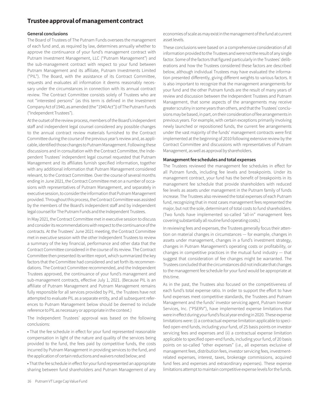## **Trustee approval of management contract**

#### **General conclusions**

The Board of Trustees of The Putnam Funds oversees the management of each fund and, as required by law, determines annually whether to approve the continuance of your fund's management contract with Putnam Investment Management, LLC ("Putnam Management") and the sub-management contract with respect to your fund between Putnam Management and its affiliate, Putnam Investments Limited ("PIL"). The Board, with the assistance of its Contract Committee, requests and evaluates all information it deems reasonably necessary under the circumstances in connection with its annual contract review. The Contract Committee consists solely of Trustees who are not "interested persons" (as this term is defined in the Investment Company Act of 1940, as amended (the "1940 Act")) of The Putnam Funds ("Independent Trustees").

At the outset of the review process, members of the Board's independent staff and independent legal counsel considered any possible changes to the annual contract review materials furnished to the Contract Committee during the course of the previous year's review and, as applicable, identified those changes to Putnam Management. Following these discussions and in consultation with the Contract Committee, the Independent Trustees' independent legal counsel requested that Putnam Management and its affiliates furnish specified information, together with any additional information that Putnam Management considered relevant, to the Contract Committee. Over the course of several months ending in June 2021, the Contract Committee met on a number of occasions with representatives of Putnam Management, and separately in executive session, to consider the information that Putnam Management provided. Throughout this process, the Contract Committee was assisted by the members of the Board's independent staff and by independent legal counsel for The Putnam Funds and the Independent Trustees.

In May 2021, the Contract Committee met in executive session to discuss and consider its recommendations with respect to the continuance of the contracts. At the Trustees' June 2021 meeting, the Contract Committee met in executive session with the other Independent Trustees to review a summary of the key financial, performance and other data that the Contract Committee considered in the course of its review. The Contract Committee then presented its written report, which summarized the key factors that the Committee had considered and set forth its recommendations. The Contract Committee recommended, and the Independent Trustees approved, the continuance of your fund's management and sub-management contracts, effective July 1, 2021. (Because PIL is an affiliate of Putnam Management and Putnam Management remains fully responsible for all services provided by PIL, the Trustees have not attempted to evaluate PIL as a separate entity, and all subsequent references to Putnam Management below should be deemed to include reference to PIL as necessary or appropriate in the context.)

The Independent Trustees' approval was based on the following conclusions:

• That the fee schedule in effect for your fund represented reasonable compensation in light of the nature and quality of the services being provided to the fund, the fees paid by competitive funds, the costs incurred by Putnam Management in providing services to the fund, and the application of certain reductions and waivers noted below; and

• That the fee schedule in effect for your fund represented an appropriate sharing between fund shareholders and Putnam Management of any economies of scale as may exist in the management of the fund at current asset levels.

These conclusions were based on a comprehensive consideration of all information provided to the Trustees and were not the result of any single factor. Some of the factors that figured particularly in the Trustees' deliberations and how the Trustees considered these factors are described below, although individual Trustees may have evaluated the information presented differently, giving different weights to various factors. It is also important to recognize that the management arrangements for your fund and the other Putnam funds are the result of many years of review and discussion between the Independent Trustees and Putnam Management, that some aspects of the arrangements may receive greater scrutiny in some years than others, and that the Trustees' conclusions may be based, in part, on their consideration of fee arrangements in previous years. For example, with certain exceptions primarily involving newly launched or repositioned funds, the current fee arrangements under the vast majority of the funds' management contracts were first implemented at the beginning of 2010 following extensive review by the Contract Committee and discussions with representatives of Putnam Management, as well as approval by shareholders.

#### **Management fee schedules and total expenses**

The Trustees reviewed the management fee schedules in effect for all Putnam funds, including fee levels and breakpoints. Under its management contract, your fund has the benefit of breakpoints in its management fee schedule that provide shareholders with reduced fee levels as assets under management in the Putnam family of funds increase. The Trustees also reviewed the total expenses of each Putnam fund, recognizing that in most cases management fees represented the major, but not the sole, determinant of total costs to fund shareholders. (Two funds have implemented so-called "all-in" management fees covering substantially all routine fund operating costs.)

In reviewing fees and expenses, the Trustees generally focus their attention on material changes in circumstances — for example, changes in assets under management, changes in a fund's investment strategy, changes in Putnam Management's operating costs or profitability, or changes in competitive practices in the mutual fund industry — that suggest that consideration of fee changes might be warranted. The Trustees concluded that the circumstances did not indicate that changes to the management fee schedule for your fund would be appropriate at this time.

As in the past, the Trustees also focused on the competitiveness of each fund's total expense ratio. In order to support the effort to have fund expenses meet competitive standards, the Trustees and Putnam Management and the funds' investor servicing agent, Putnam Investor Services, Inc. ("PSERV"), have implemented expense limitations that were in effect during your fund's fiscal year ending in 2020. These expense limitations were: (i) a contractual expense limitation applicable to specified open-end funds, including your fund, of 25 basis points on investor servicing fees and expenses and (ii) a contractual expense limitation applicable to specified open-end funds, including your fund, of 20 basis points on so-called "other expenses" (i.e., all expenses exclusive of management fees, distribution fees, investor servicing fees, investmentrelated expenses, interest, taxes, brokerage commissions, acquired fund fees and expenses and extraordinary expenses). These expense limitations attempt to maintain competitive expense levels for the funds.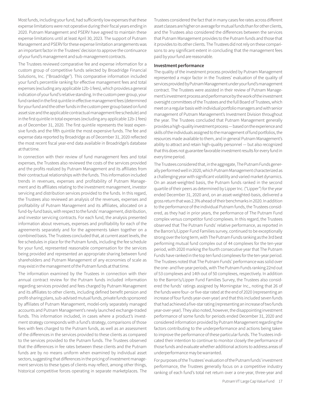Most funds, including your fund, had sufficiently low expenses that these expense limitations were not operative during their fiscal years ending in 2020. Putnam Management and PSERV have agreed to maintain these expense limitations until at least April 30, 2023. The support of Putnam Management and PSERV for these expense limitation arrangements was an important factor in the Trustees' decision to approve the continuance of your fund's management and sub-management contracts.

The Trustees reviewed comparative fee and expense information for a custom group of competitive funds selected by Broadridge Financial Solutions, Inc. ("Broadridge"). This comparative information included your fund's percentile ranking for effective management fees and total expenses (excluding any applicable 12b-1 fees), which provides a general indication of your fund's relative standing. In the custom peer group, your fund ranked in the first quintile in effective management fees (determined for your fund and the other funds in the custom peer group based on fund asset size and the applicable contractual management fee schedule) and in the first quintile in total expenses (excluding any applicable 12b-1 fees) as of December 31, 2020. The first quintile represents the least expensive funds and the fifth quintile the most expensive funds. The fee and expense data reported by Broadridge as of December 31, 2020 reflected the most recent fiscal year-end data available in Broadridge's database at that time.

In connection with their review of fund management fees and total expenses, the Trustees also reviewed the costs of the services provided and the profits realized by Putnam Management and its affiliates from their contractual relationships with the funds. This information included trends in revenues, expenses and profitability of Putnam Management and its affiliates relating to the investment management, investor servicing and distribution services provided to the funds. In this regard, the Trustees also reviewed an analysis of the revenues, expenses and profitability of Putnam Management and its affiliates, allocated on a fund-by-fund basis, with respect to the funds' management, distribution, and investor servicing contracts. For each fund, the analysis presented information about revenues, expenses and profitability for each of the agreements separately and for the agreements taken together on a combined basis. The Trustees concluded that, at current asset levels, the fee schedules in place for the Putnam funds, including the fee schedule for your fund, represented reasonable compensation for the services being provided and represented an appropriate sharing between fund shareholders and Putnam Management of any economies of scale as may exist in the management of the Putnam funds at that time.

The information examined by the Trustees in connection with their annual contract review for the Putnam funds included information regarding services provided and fees charged by Putnam Management and its affiliates to other clients, including defined benefit pension and profit-sharing plans, sub-advised mutual funds, private funds sponsored by affiliates of Putnam Management, model-only separately managed accounts and Putnam Management's newly launched exchange-traded funds. This information included, in cases where a product's investment strategy corresponds with a fund's strategy, comparisons of those fees with fees charged to the Putnam funds, as well as an assessment of the differences in the services provided to these clients as compared to the services provided to the Putnam funds. The Trustees observed that the differences in fee rates between these clients and the Putnam funds are by no means uniform when examined by individual asset sectors, suggesting that differences in the pricing of investment management services to these types of clients may reflect, among other things, historical competitive forces operating in separate marketplaces. The Trustees considered the fact that in many cases fee rates across different asset classes are higher on average for mutual funds than for other clients, and the Trustees also considered the differences between the services that Putnam Management provides to the Putnam funds and those that it provides to its other clients. The Trustees did not rely on these comparisons to any significant extent in concluding that the management fees paid by your fund are reasonable.

#### **Investment performance**

The quality of the investment process provided by Putnam Management represented a major factor in the Trustees' evaluation of the quality of services provided by Putnam Management under your fund's management contract. The Trustees were assisted in their review of Putnam Management's investment process and performance by the work of the investment oversight committees of the Trustees and the full Board of Trustees, which meet on a regular basis with individual portfolio managers and with senior management of Putnam Management's Investment Division throughout the year. The Trustees concluded that Putnam Management generally provides a high-quality investment process — based on the experience and skills of the individuals assigned to the management of fund portfolios, the resources made available to them, and in general Putnam Management's ability to attract and retain high-quality personnel — but also recognized that this does not guarantee favorable investment results for every fund in every time period.

The Trustees considered that, in the aggregate, The Putnam Funds generally performed well in 2020, which Putnam Management characterized as a challenging year with significant volatility and varied market dynamics. On an asset-weighted basis, the Putnam funds ranked in the second quartile of their peers as determined by Lipper Inc. ("Lipper") for the year ended December 31, 2020 and, on an asset-weighted-basis, delivered a gross return that was 2.3% ahead of their benchmarks in 2020. In addition to the performance of the individual Putnam funds, the Trustees considered, as they had in prior years, the performance of The Putnam Fund complex versus competitor fund complexes. In this regard, the Trustees observed that The Putnam Funds' relative performance, as reported in the Barron's/Lipper Fund Families survey, continued to be exceptionally strong over the long term, with The Putnam Funds ranking as the 3rd best performing mutual fund complex out of 44 complexes for the ten-year period, with 2020 marking the fourth consecutive year that The Putnam Funds have ranked in the top ten fund complexes for the ten-year period. The Trustees noted that The Putnam Funds' performance was solid over the one- and five-year periods, with The Putnam Funds ranking 22nd out of 53 complexes and 14th out of 50 complexes, respectively. In addition to the Barron's/Lipper Fund Families Survey, the Trustees also considered the funds' ratings assigned by Morningstar Inc., noting that 26 of the funds were four- or five-star rated at the end of 2020 (representing an increase of four funds year-over-year) and that this included seven funds that had achieved a five-star rating (representing an increase of two funds year-over-year). They also noted, however, the disappointing investment performance of some funds for periods ended December 31, 2020 and considered information provided by Putnam Management regarding the factors contributing to the underperformance and actions being taken to improve the performance of these particular funds. The Trustees indicated their intention to continue to monitor closely the performance of those funds and evaluate whether additional actions to address areas of underperformance may be warranted.

For purposes of the Trustees' evaluation of the Putnam funds' investment performance, the Trustees generally focus on a competitive industry ranking of each fund's total net return over a one-year, three-year and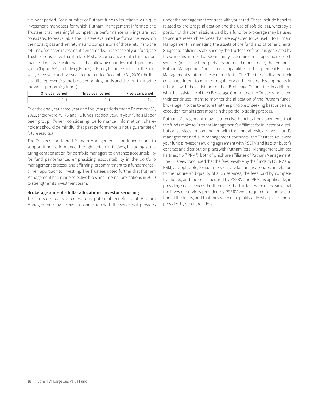five-year period. For a number of Putnam funds with relatively unique investment mandates for which Putnam Management informed the Trustees that meaningful competitive performance rankings are not considered to be available, the Trustees evaluated performance based on their total gross and net returns and comparisons of those returns to the returns of selected investment benchmarks. In the case of your fund, the Trustees considered that its class IA share cumulative total return performance at net asset value was in the following quartiles of its Lipper peer group (Lipper VP (Underlying Funds) — Equity Income Funds) for the oneyear, three-year and five-year periods ended December 31, 2020 (the first quartile representing the best-performing funds and the fourth quartile the worst-performing funds):

| Five-year period | Three-year period | One-year period |
|------------------|-------------------|-----------------|
|                  |                   |                 |

Over the one-year, three-year and five-year periods ended December 31, 2020, there were 79, 76 and 70 funds, respectively, in your fund's Lipper peer group. (When considering performance information, shareholders should be mindful that past performance is not a guarantee of future results.)

The Trustees considered Putnam Management's continued efforts to support fund performance through certain initiatives, including structuring compensation for portfolio managers to enhance accountability for fund performance, emphasizing accountability in the portfolio management process, and affirming its commitment to a fundamentaldriven approach to investing. The Trustees noted further that Putnam Management had made selective hires and internal promotions in 2020 to strengthen its investment team.

#### **Brokerage and soft-dollar allocations; investor servicing**

The Trustees considered various potential benefits that Putnam Management may receive in connection with the services it provides under the management contract with your fund. These include benefits related to brokerage allocation and the use of soft dollars, whereby a portion of the commissions paid by a fund for brokerage may be used to acquire research services that are expected to be useful to Putnam Management in managing the assets of the fund and of other clients. Subject to policies established by the Trustees, soft dollars generated by these means are used predominantly to acquire brokerage and research services (including third-party research and market data) that enhance Putnam Management's investment capabilities and supplement Putnam Management's internal research efforts. The Trustees indicated their continued intent to monitor regulatory and industry developments in this area with the assistance of their Brokerage Committee. In addition, with the assistance of their Brokerage Committee, the Trustees indicated their continued intent to monitor the allocation of the Putnam funds' brokerage in order to ensure that the principle of seeking best price and execution remains paramount in the portfolio trading process.

Putnam Management may also receive benefits from payments that the funds make to Putnam Management's affiliates for investor or distribution services. In conjunction with the annual review of your fund's management and sub-management contracts, the Trustees reviewed your fund's investor servicing agreement with PSERV and its distributor's contract and distribution plans with Putnam Retail Management Limited Partnership ("PRM"), both of which are affiliates of Putnam Management. The Trustees concluded that the fees payable by the funds to PSERV and PRM, as applicable, for such services are fair and reasonable in relation to the nature and quality of such services, the fees paid by competitive funds, and the costs incurred by PSERV and PRM, as applicable, in providing such services. Furthermore, the Trustees were of the view that the investor services provided by PSERV were required for the operation of the funds, and that they were of a quality at least equal to those provided by other providers.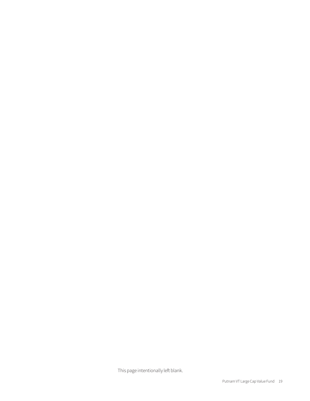This page intentionally left blank.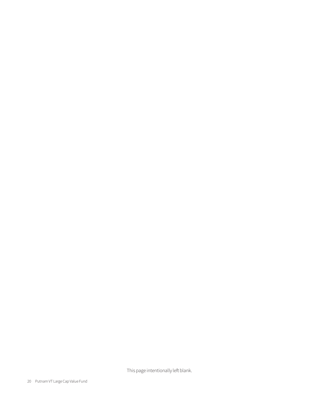This page intentionally left blank.